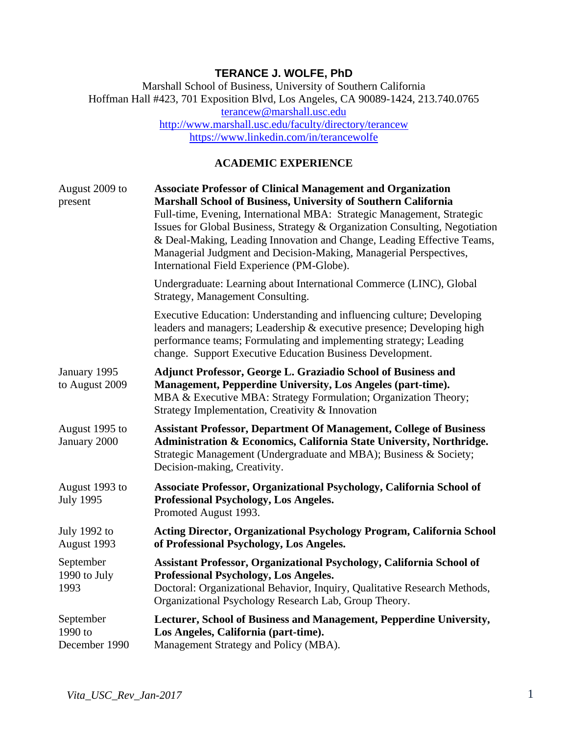# **TERANCE J. WOLFE, PhD**

Marshall School of Business, University of Southern California Hoffman Hall #423, 701 Exposition Blvd, Los Angeles, CA 90089-1424, 213.740.0765 [terancew@marshall.usc.edu](mailto:terancew@marshall.usc.edu) <http://www.marshall.usc.edu/faculty/directory/terancew> <https://www.linkedin.com/in/terancewolfe>

## **ACADEMIC EXPERIENCE**

| August 2009 to<br>present             | <b>Associate Professor of Clinical Management and Organization</b><br>Marshall School of Business, University of Southern California<br>Full-time, Evening, International MBA: Strategic Management, Strategic<br>Issues for Global Business, Strategy & Organization Consulting, Negotiation<br>& Deal-Making, Leading Innovation and Change, Leading Effective Teams,<br>Managerial Judgment and Decision-Making, Managerial Perspectives,<br>International Field Experience (PM-Globe). |
|---------------------------------------|--------------------------------------------------------------------------------------------------------------------------------------------------------------------------------------------------------------------------------------------------------------------------------------------------------------------------------------------------------------------------------------------------------------------------------------------------------------------------------------------|
|                                       | Undergraduate: Learning about International Commerce (LINC), Global<br>Strategy, Management Consulting.                                                                                                                                                                                                                                                                                                                                                                                    |
|                                       | Executive Education: Understanding and influencing culture; Developing<br>leaders and managers; Leadership & executive presence; Developing high<br>performance teams; Formulating and implementing strategy; Leading<br>change. Support Executive Education Business Development.                                                                                                                                                                                                         |
| January 1995<br>to August 2009        | Adjunct Professor, George L. Graziadio School of Business and<br>Management, Pepperdine University, Los Angeles (part-time).<br>MBA & Executive MBA: Strategy Formulation; Organization Theory;<br>Strategy Implementation, Creativity & Innovation                                                                                                                                                                                                                                        |
| August 1995 to<br>January 2000        | <b>Assistant Professor, Department Of Management, College of Business</b><br>Administration & Economics, California State University, Northridge.<br>Strategic Management (Undergraduate and MBA); Business & Society;<br>Decision-making, Creativity.                                                                                                                                                                                                                                     |
| August 1993 to<br><b>July 1995</b>    | Associate Professor, Organizational Psychology, California School of<br>Professional Psychology, Los Angeles.<br>Promoted August 1993.                                                                                                                                                                                                                                                                                                                                                     |
| July 1992 to<br>August 1993           | <b>Acting Director, Organizational Psychology Program, California School</b><br>of Professional Psychology, Los Angeles.                                                                                                                                                                                                                                                                                                                                                                   |
| September<br>1990 to July<br>1993     | Assistant Professor, Organizational Psychology, California School of<br>Professional Psychology, Los Angeles.<br>Doctoral: Organizational Behavior, Inquiry, Qualitative Research Methods,<br>Organizational Psychology Research Lab, Group Theory.                                                                                                                                                                                                                                        |
| September<br>1990 to<br>December 1990 | Lecturer, School of Business and Management, Pepperdine University,<br>Los Angeles, California (part-time).<br>Management Strategy and Policy (MBA).                                                                                                                                                                                                                                                                                                                                       |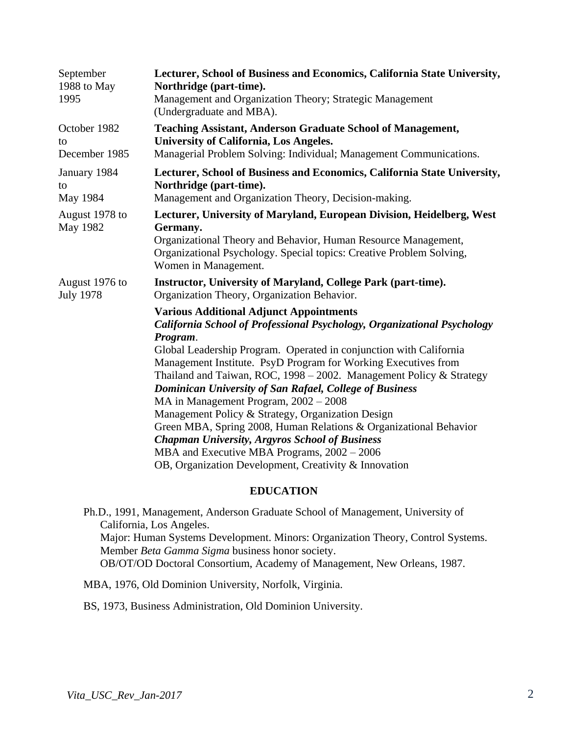| September<br>1988 to May<br>1995    | Lecturer, School of Business and Economics, California State University,<br>Northridge (part-time).<br>Management and Organization Theory; Strategic Management<br>(Undergraduate and MBA).                                                                                                                                                                                                                                                                                                                                                                                                                                                                                                                                                         |
|-------------------------------------|-----------------------------------------------------------------------------------------------------------------------------------------------------------------------------------------------------------------------------------------------------------------------------------------------------------------------------------------------------------------------------------------------------------------------------------------------------------------------------------------------------------------------------------------------------------------------------------------------------------------------------------------------------------------------------------------------------------------------------------------------------|
| October 1982<br>to<br>December 1985 | <b>Teaching Assistant, Anderson Graduate School of Management,</b><br><b>University of California, Los Angeles.</b><br>Managerial Problem Solving: Individual; Management Communications.                                                                                                                                                                                                                                                                                                                                                                                                                                                                                                                                                           |
| January 1984<br>to<br>May 1984      | Lecturer, School of Business and Economics, California State University,<br>Northridge (part-time).<br>Management and Organization Theory, Decision-making.                                                                                                                                                                                                                                                                                                                                                                                                                                                                                                                                                                                         |
| August 1978 to<br>May 1982          | Lecturer, University of Maryland, European Division, Heidelberg, West<br>Germany.<br>Organizational Theory and Behavior, Human Resource Management,<br>Organizational Psychology. Special topics: Creative Problem Solving,<br>Women in Management.                                                                                                                                                                                                                                                                                                                                                                                                                                                                                                 |
| August 1976 to<br><b>July 1978</b>  | Instructor, University of Maryland, College Park (part-time).<br>Organization Theory, Organization Behavior.                                                                                                                                                                                                                                                                                                                                                                                                                                                                                                                                                                                                                                        |
|                                     | <b>Various Additional Adjunct Appointments</b><br>California School of Professional Psychology, Organizational Psychology<br>Program.<br>Global Leadership Program. Operated in conjunction with California<br>Management Institute. PsyD Program for Working Executives from<br>Thailand and Taiwan, ROC, 1998 - 2002. Management Policy & Strategy<br>Dominican University of San Rafael, College of Business<br>MA in Management Program, 2002 - 2008<br>Management Policy & Strategy, Organization Design<br>Green MBA, Spring 2008, Human Relations & Organizational Behavior<br><b>Chapman University, Argyros School of Business</b><br>MBA and Executive MBA Programs, 2002 - 2006<br>OB, Organization Development, Creativity & Innovation |
|                                     | <b>EDIT A TIAN</b>                                                                                                                                                                                                                                                                                                                                                                                                                                                                                                                                                                                                                                                                                                                                  |

## **EDUCATION**

Ph.D., 1991, Management, Anderson Graduate School of Management, University of California, Los Angeles. Major: Human Systems Development. Minors: Organization Theory, Control Systems. Member *Beta Gamma Sigma* business honor society. OB/OT/OD Doctoral Consortium, Academy of Management, New Orleans, 1987.

MBA, 1976, Old Dominion University, Norfolk, Virginia.

BS, 1973, Business Administration, Old Dominion University.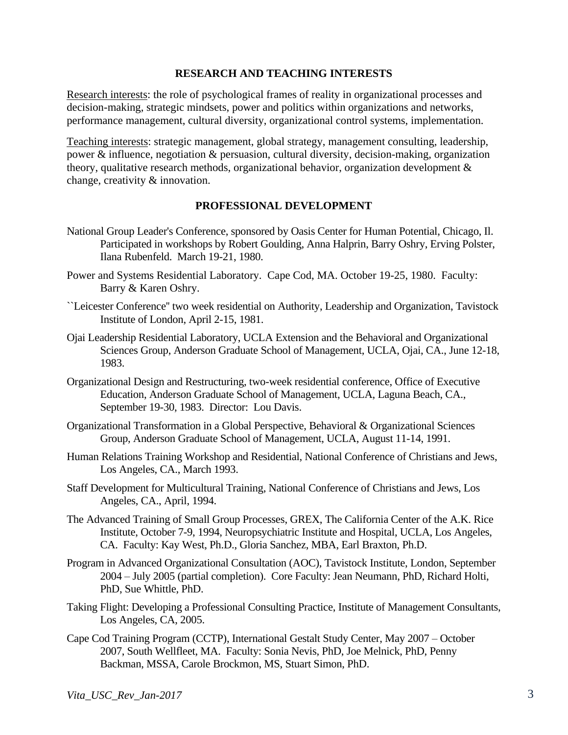## **RESEARCH AND TEACHING INTERESTS**

Research interests: the role of psychological frames of reality in organizational processes and decision-making, strategic mindsets, power and politics within organizations and networks, performance management, cultural diversity, organizational control systems, implementation.

Teaching interests: strategic management, global strategy, management consulting, leadership, power & influence, negotiation & persuasion, cultural diversity, decision-making, organization theory, qualitative research methods, organizational behavior, organization development & change, creativity & innovation.

## **PROFESSIONAL DEVELOPMENT**

- National Group Leader's Conference, sponsored by Oasis Center for Human Potential, Chicago, Il. Participated in workshops by Robert Goulding, Anna Halprin, Barry Oshry, Erving Polster, Ilana Rubenfeld. March 19-21, 1980.
- Power and Systems Residential Laboratory. Cape Cod, MA. October 19-25, 1980. Faculty: Barry & Karen Oshry.
- ``Leicester Conference'' two week residential on Authority, Leadership and Organization, Tavistock Institute of London, April 2-15, 1981.
- Ojai Leadership Residential Laboratory, UCLA Extension and the Behavioral and Organizational Sciences Group, Anderson Graduate School of Management, UCLA, Ojai, CA., June 12-18, 1983.
- Organizational Design and Restructuring, two-week residential conference, Office of Executive Education, Anderson Graduate School of Management, UCLA, Laguna Beach, CA., September 19-30, 1983. Director: Lou Davis.
- Organizational Transformation in a Global Perspective, Behavioral & Organizational Sciences Group, Anderson Graduate School of Management, UCLA, August 11-14, 1991.
- Human Relations Training Workshop and Residential, National Conference of Christians and Jews, Los Angeles, CA., March 1993.
- Staff Development for Multicultural Training, National Conference of Christians and Jews, Los Angeles, CA., April, 1994.
- The Advanced Training of Small Group Processes, GREX, The California Center of the A.K. Rice Institute, October 7-9, 1994, Neuropsychiatric Institute and Hospital, UCLA, Los Angeles, CA. Faculty: Kay West, Ph.D., Gloria Sanchez, MBA, Earl Braxton, Ph.D.
- Program in Advanced Organizational Consultation (AOC), Tavistock Institute, London, September 2004 – July 2005 (partial completion). Core Faculty: Jean Neumann, PhD, Richard Holti, PhD, Sue Whittle, PhD.
- Taking Flight: Developing a Professional Consulting Practice, Institute of Management Consultants, Los Angeles, CA, 2005.
- Cape Cod Training Program (CCTP), International Gestalt Study Center, May 2007 October 2007, South Wellfleet, MA. Faculty: Sonia Nevis, PhD, Joe Melnick, PhD, Penny Backman, MSSA, Carole Brockmon, MS, Stuart Simon, PhD.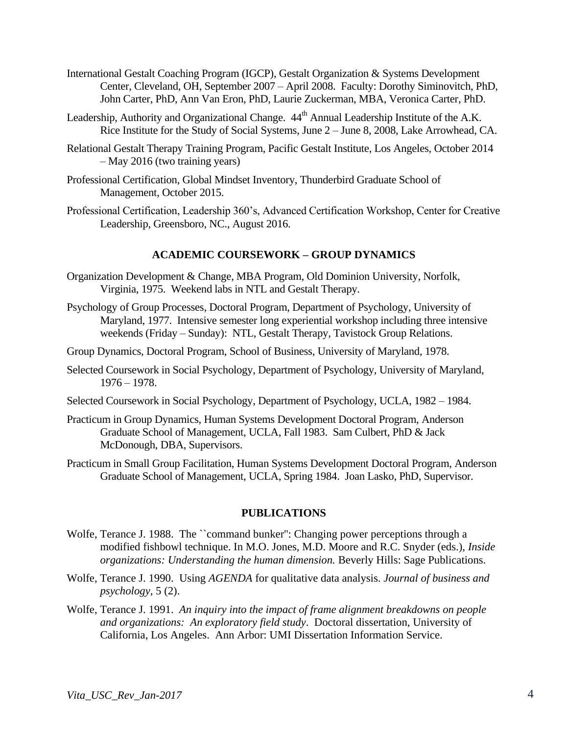- International Gestalt Coaching Program (IGCP), Gestalt Organization & Systems Development Center, Cleveland, OH, September 2007 – April 2008. Faculty: Dorothy Siminovitch, PhD, John Carter, PhD, Ann Van Eron, PhD, Laurie Zuckerman, MBA, Veronica Carter, PhD.
- Leadership, Authority and Organizational Change.  $44<sup>th</sup>$  Annual Leadership Institute of the A.K. Rice Institute for the Study of Social Systems, June 2 – June 8, 2008, Lake Arrowhead, CA.
- Relational Gestalt Therapy Training Program, Pacific Gestalt Institute, Los Angeles, October 2014 – May 2016 (two training years)
- Professional Certification, Global Mindset Inventory, Thunderbird Graduate School of Management, October 2015.
- Professional Certification, Leadership 360's, Advanced Certification Workshop, Center for Creative Leadership, Greensboro, NC., August 2016.

## **ACADEMIC COURSEWORK – GROUP DYNAMICS**

- Organization Development & Change, MBA Program, Old Dominion University, Norfolk, Virginia, 1975. Weekend labs in NTL and Gestalt Therapy.
- Psychology of Group Processes, Doctoral Program, Department of Psychology, University of Maryland, 1977. Intensive semester long experiential workshop including three intensive weekends (Friday – Sunday): NTL, Gestalt Therapy, Tavistock Group Relations.
- Group Dynamics, Doctoral Program, School of Business, University of Maryland, 1978.
- Selected Coursework in Social Psychology, Department of Psychology, University of Maryland, 1976 – 1978.
- Selected Coursework in Social Psychology, Department of Psychology, UCLA, 1982 1984.
- Practicum in Group Dynamics, Human Systems Development Doctoral Program, Anderson Graduate School of Management, UCLA, Fall 1983. Sam Culbert, PhD & Jack McDonough, DBA, Supervisors.

Practicum in Small Group Facilitation, Human Systems Development Doctoral Program, Anderson Graduate School of Management, UCLA, Spring 1984. Joan Lasko, PhD, Supervisor.

#### **PUBLICATIONS**

- Wolfe, Terance J. 1988. The ``command bunker'': Changing power perceptions through a modified fishbowl technique. In M.O. Jones, M.D. Moore and R.C. Snyder (eds.), *Inside organizations: Understanding the human dimension.* Beverly Hills: Sage Publications.
- Wolfe, Terance J. 1990. Using *AGENDA* for qualitative data analysis. *Journal of business and psychology*, 5 (2).
- Wolfe, Terance J. 1991. *An inquiry into the impact of frame alignment breakdowns on people and organizations: An exploratory field study*. Doctoral dissertation, University of California, Los Angeles. Ann Arbor: UMI Dissertation Information Service.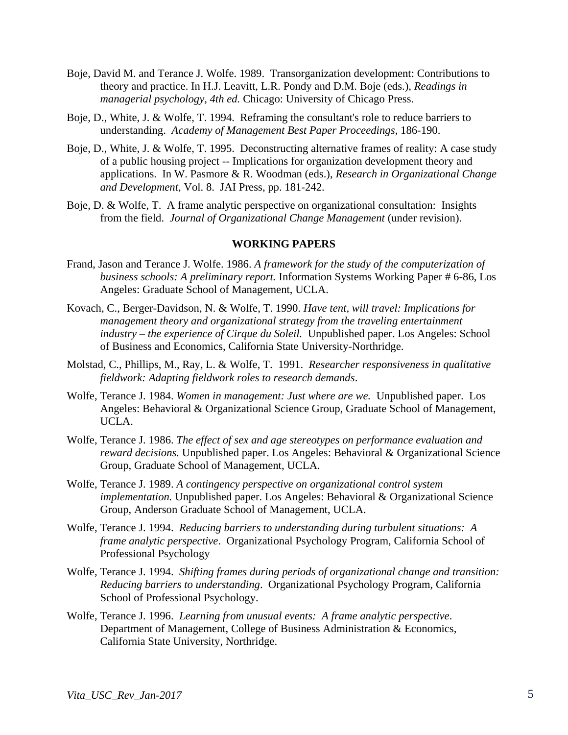- Boje, David M. and Terance J. Wolfe. 1989. Transorganization development: Contributions to theory and practice. In H.J. Leavitt, L.R. Pondy and D.M. Boje (eds.), *Readings in managerial psychology, 4th ed.* Chicago: University of Chicago Press.
- Boje, D., White, J. & Wolfe, T. 1994. Reframing the consultant's role to reduce barriers to understanding. *Academy of Management Best Paper Proceedings*, 186-190.
- Boje, D., White, J. & Wolfe, T. 1995. Deconstructing alternative frames of reality: A case study of a public housing project -- Implications for organization development theory and applications. In W. Pasmore & R. Woodman (eds.), *Research in Organizational Change and Development*, Vol. 8. JAI Press, pp. 181-242.
- Boje, D. & Wolfe, T. A frame analytic perspective on organizational consultation: Insights from the field. *Journal of Organizational Change Management* (under revision).

#### **WORKING PAPERS**

- Frand, Jason and Terance J. Wolfe. 1986. *A framework for the study of the computerization of business schools: A preliminary report.* Information Systems Working Paper # 6-86, Los Angeles: Graduate School of Management, UCLA.
- Kovach, C., Berger-Davidson, N. & Wolfe, T. 1990. *Have tent, will travel: Implications for management theory and organizational strategy from the traveling entertainment industry – the experience of Cirque du Soleil.* Unpublished paper. Los Angeles: School of Business and Economics, California State University-Northridge.
- Molstad, C., Phillips, M., Ray, L. & Wolfe, T. 1991. *Researcher responsiveness in qualitative fieldwork: Adapting fieldwork roles to research demands*.
- Wolfe, Terance J. 1984. *Women in management: Just where are we.* Unpublished paper. Los Angeles: Behavioral & Organizational Science Group, Graduate School of Management, UCLA.
- Wolfe, Terance J. 1986. *The effect of sex and age stereotypes on performance evaluation and reward decisions.* Unpublished paper. Los Angeles: Behavioral & Organizational Science Group, Graduate School of Management, UCLA.
- Wolfe, Terance J. 1989. *A contingency perspective on organizational control system implementation.* Unpublished paper. Los Angeles: Behavioral & Organizational Science Group, Anderson Graduate School of Management, UCLA.
- Wolfe, Terance J. 1994. *Reducing barriers to understanding during turbulent situations: A frame analytic perspective*. Organizational Psychology Program, California School of Professional Psychology
- Wolfe, Terance J. 1994. *Shifting frames during periods of organizational change and transition: Reducing barriers to understanding*. Organizational Psychology Program, California School of Professional Psychology.
- Wolfe, Terance J. 1996. *Learning from unusual events: A frame analytic perspective*. Department of Management, College of Business Administration & Economics, California State University, Northridge.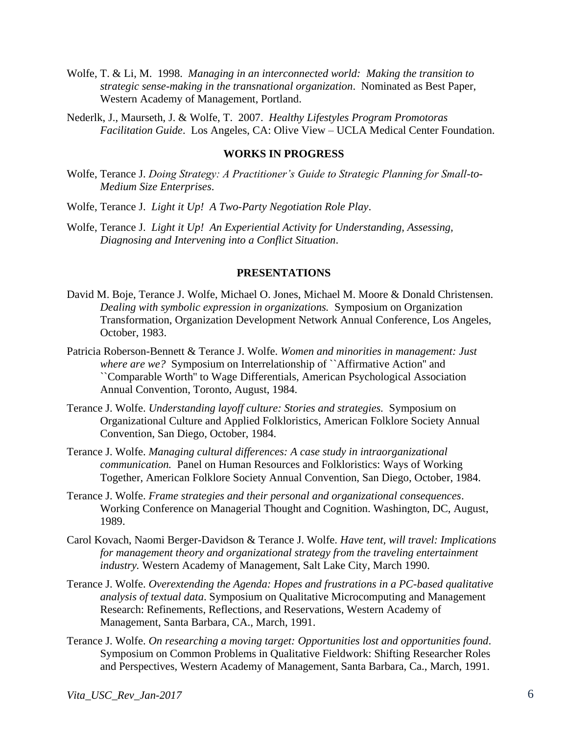- Wolfe, T. & Li, M. 1998. *Managing in an interconnected world: Making the transition to strategic sense-making in the transnational organization*. Nominated as Best Paper, Western Academy of Management, Portland.
- Nederlk, J., Maurseth, J. & Wolfe, T. 2007. *Healthy Lifestyles Program Promotoras Facilitation Guide*. Los Angeles, CA: Olive View – UCLA Medical Center Foundation.

## **WORKS IN PROGRESS**

- Wolfe, Terance J. *Doing Strategy: A Practitioner's Guide to Strategic Planning for Small-to-Medium Size Enterprises*.
- Wolfe, Terance J. *Light it Up! A Two-Party Negotiation Role Play*.
- Wolfe, Terance J. *Light it Up! An Experiential Activity for Understanding, Assessing, Diagnosing and Intervening into a Conflict Situation*.

#### **PRESENTATIONS**

- David M. Boje, Terance J. Wolfe, Michael O. Jones, Michael M. Moore & Donald Christensen. *Dealing with symbolic expression in organizations.* Symposium on Organization Transformation, Organization Development Network Annual Conference, Los Angeles, October, 1983.
- Patricia Roberson-Bennett & Terance J. Wolfe. *Women and minorities in management: Just where are we?* Symposium on Interrelationship of ``Affirmative Action'' and ``Comparable Worth'' to Wage Differentials, American Psychological Association Annual Convention, Toronto, August, 1984.
- Terance J. Wolfe. *Understanding layoff culture: Stories and strategies.* Symposium on Organizational Culture and Applied Folkloristics, American Folklore Society Annual Convention, San Diego, October, 1984.
- Terance J. Wolfe. *Managing cultural differences: A case study in intraorganizational communication.* Panel on Human Resources and Folkloristics: Ways of Working Together, American Folklore Society Annual Convention, San Diego, October, 1984.
- Terance J. Wolfe. *Frame strategies and their personal and organizational consequences*. Working Conference on Managerial Thought and Cognition. Washington, DC, August, 1989.
- Carol Kovach, Naomi Berger-Davidson & Terance J. Wolfe. *Have tent, will travel: Implications for management theory and organizational strategy from the traveling entertainment industry.* Western Academy of Management, Salt Lake City, March 1990.
- Terance J. Wolfe. *Overextending the Agenda: Hopes and frustrations in a PC-based qualitative analysis of textual data*. Symposium on Qualitative Microcomputing and Management Research: Refinements, Reflections, and Reservations, Western Academy of Management, Santa Barbara, CA., March, 1991.
- Terance J. Wolfe. *On researching a moving target: Opportunities lost and opportunities found*. Symposium on Common Problems in Qualitative Fieldwork: Shifting Researcher Roles and Perspectives, Western Academy of Management, Santa Barbara, Ca., March, 1991.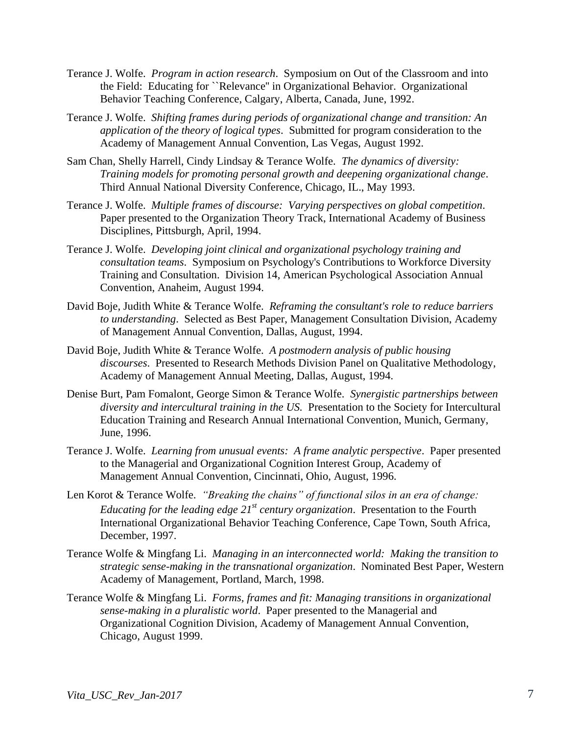- Terance J. Wolfe. *Program in action research*. Symposium on Out of the Classroom and into the Field: Educating for ``Relevance'' in Organizational Behavior. Organizational Behavior Teaching Conference, Calgary, Alberta, Canada, June, 1992.
- Terance J. Wolfe. *Shifting frames during periods of organizational change and transition: An application of the theory of logical types*. Submitted for program consideration to the Academy of Management Annual Convention, Las Vegas, August 1992.
- Sam Chan, Shelly Harrell, Cindy Lindsay & Terance Wolfe. *The dynamics of diversity: Training models for promoting personal growth and deepening organizational change*. Third Annual National Diversity Conference, Chicago, IL., May 1993.
- Terance J. Wolfe. *Multiple frames of discourse: Varying perspectives on global competition*. Paper presented to the Organization Theory Track, International Academy of Business Disciplines, Pittsburgh, April, 1994.
- Terance J. Wolfe. *Developing joint clinical and organizational psychology training and consultation teams*. Symposium on Psychology's Contributions to Workforce Diversity Training and Consultation. Division 14, American Psychological Association Annual Convention, Anaheim, August 1994.
- David Boje, Judith White & Terance Wolfe. *Reframing the consultant's role to reduce barriers to understanding*. Selected as Best Paper, Management Consultation Division, Academy of Management Annual Convention, Dallas, August, 1994.
- David Boje, Judith White & Terance Wolfe. *A postmodern analysis of public housing discourses*. Presented to Research Methods Division Panel on Qualitative Methodology, Academy of Management Annual Meeting, Dallas, August, 1994.
- Denise Burt, Pam Fomalont, George Simon & Terance Wolfe. *Synergistic partnerships between diversity and intercultural training in the US.* Presentation to the Society for Intercultural Education Training and Research Annual International Convention, Munich, Germany, June, 1996.
- Terance J. Wolfe. *Learning from unusual events: A frame analytic perspective*. Paper presented to the Managerial and Organizational Cognition Interest Group, Academy of Management Annual Convention, Cincinnati, Ohio, August, 1996.
- Len Korot & Terance Wolfe. *"Breaking the chains" of functional silos in an era of change: Educating for the leading edge 21st century organization*. Presentation to the Fourth International Organizational Behavior Teaching Conference, Cape Town, South Africa, December, 1997.
- Terance Wolfe & Mingfang Li. *Managing in an interconnected world: Making the transition to strategic sense-making in the transnational organization*. Nominated Best Paper, Western Academy of Management, Portland, March, 1998.
- Terance Wolfe & Mingfang Li. *Forms, frames and fit: Managing transitions in organizational sense-making in a pluralistic world*. Paper presented to the Managerial and Organizational Cognition Division, Academy of Management Annual Convention, Chicago, August 1999.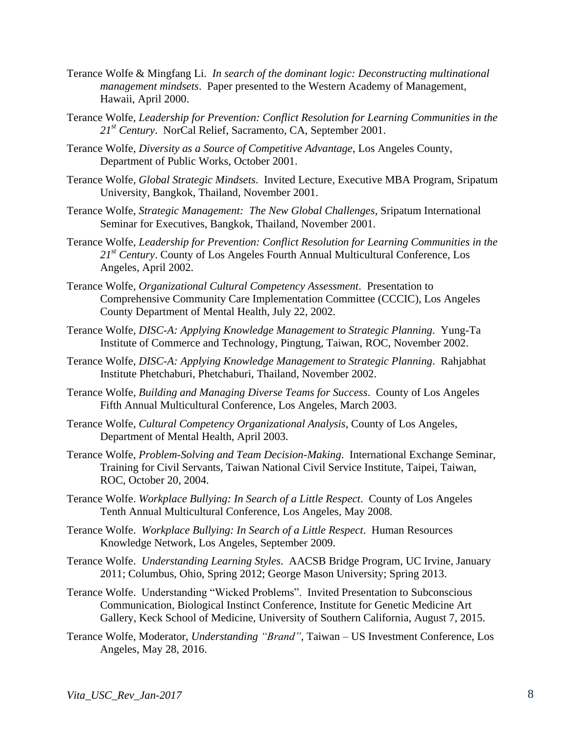- Terance Wolfe & Mingfang Li. *In search of the dominant logic: Deconstructing multinational management mindsets*. Paper presented to the Western Academy of Management, Hawaii, April 2000.
- Terance Wolfe, *Leadership for Prevention: Conflict Resolution for Learning Communities in the 21st Century*. NorCal Relief, Sacramento, CA, September 2001.
- Terance Wolfe, *Diversity as a Source of Competitive Advantage*, Los Angeles County, Department of Public Works, October 2001.
- Terance Wolfe, *Global Strategic Mindsets*. Invited Lecture, Executive MBA Program, Sripatum University, Bangkok, Thailand, November 2001.
- Terance Wolfe, *Strategic Management: The New Global Challenges*, Sripatum International Seminar for Executives, Bangkok, Thailand, November 2001.
- Terance Wolfe, *Leadership for Prevention: Conflict Resolution for Learning Communities in the 21st Century*. County of Los Angeles Fourth Annual Multicultural Conference, Los Angeles, April 2002.
- Terance Wolfe, *Organizational Cultural Competency Assessment*. Presentation to Comprehensive Community Care Implementation Committee (CCCIC), Los Angeles County Department of Mental Health, July 22, 2002.
- Terance Wolfe, *DISC-A: Applying Knowledge Management to Strategic Planning*. Yung-Ta Institute of Commerce and Technology, Pingtung, Taiwan, ROC, November 2002.
- Terance Wolfe, *DISC-A: Applying Knowledge Management to Strategic Planning*. Rahjabhat Institute Phetchaburi, Phetchaburi, Thailand, November 2002.
- Terance Wolfe, *Building and Managing Diverse Teams for Success*. County of Los Angeles Fifth Annual Multicultural Conference, Los Angeles, March 2003.
- Terance Wolfe, *Cultural Competency Organizational Analysis*, County of Los Angeles, Department of Mental Health, April 2003.
- Terance Wolfe, *Problem-Solving and Team Decision-Making*. International Exchange Seminar, Training for Civil Servants, Taiwan National Civil Service Institute, Taipei, Taiwan, ROC, October 20, 2004.
- Terance Wolfe. *Workplace Bullying: In Search of a Little Respect*. County of Los Angeles Tenth Annual Multicultural Conference, Los Angeles, May 2008.
- Terance Wolfe. *Workplace Bullying: In Search of a Little Respect*. Human Resources Knowledge Network, Los Angeles, September 2009.
- Terance Wolfe. *Understanding Learning Styles*. AACSB Bridge Program, UC Irvine, January 2011; Columbus, Ohio, Spring 2012; George Mason University; Spring 2013.
- Terance Wolfe. Understanding "Wicked Problems". Invited Presentation to Subconscious Communication, Biological Instinct Conference, Institute for Genetic Medicine Art Gallery, Keck School of Medicine, University of Southern California, August 7, 2015.
- Terance Wolfe, Moderator, *Understanding "Brand"*, Taiwan US Investment Conference, Los Angeles, May 28, 2016.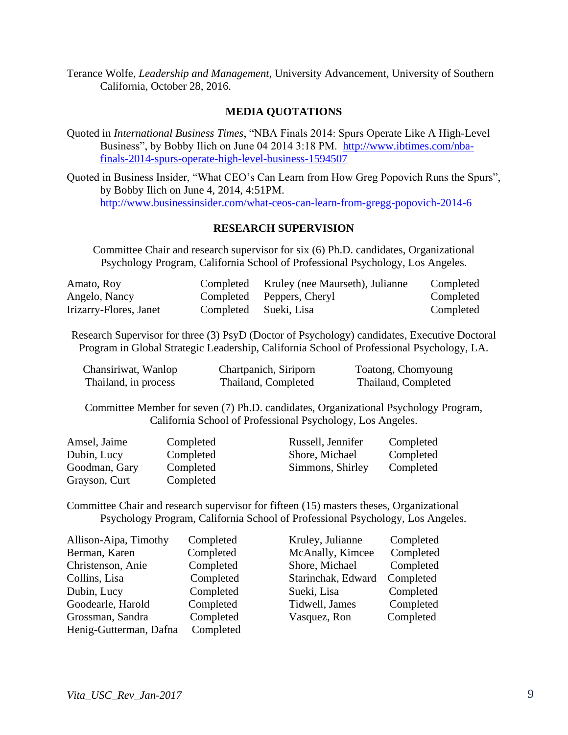Terance Wolfe, *Leadership and Management*, University Advancement, University of Southern California, October 28, 2016.

## **MEDIA QUOTATIONS**

Quoted in *International Business Times*, "NBA Finals 2014: Spurs Operate Like A High-Level Business", by Bobby Ilich on June 04 2014 3:18 PM. [http://www.ibtimes.com/nba](http://www.ibtimes.com/nba-finals-2014-spurs-operate-high-level-business-1594507)[finals-2014-spurs-operate-high-level-business-1594507](http://www.ibtimes.com/nba-finals-2014-spurs-operate-high-level-business-1594507)

Quoted in Business Insider, "What CEO's Can Learn from How Greg Popovich Runs the Spurs", by Bobby Ilich on June 4, 2014, 4:51PM. <http://www.businessinsider.com/what-ceos-can-learn-from-gregg-popovich-2014-6>

### **RESEARCH SUPERVISION**

Committee Chair and research supervisor for six (6) Ph.D. candidates, Organizational Psychology Program, California School of Professional Psychology, Los Angeles.

| Amato, Roy             |                       | Completed Kruley (nee Maurseth), Julianne | Completed |
|------------------------|-----------------------|-------------------------------------------|-----------|
| Angelo, Nancy          |                       | Completed Peppers, Cheryl                 | Completed |
| Irizarry-Flores, Janet | Completed Sueki, Lisa |                                           | Completed |

Research Supervisor for three (3) PsyD (Doctor of Psychology) candidates, Executive Doctoral Program in Global Strategic Leadership, California School of Professional Psychology, LA.

| Chansiriwat, Wanlop  | Chartpanich, Siriporn | Toatong, Chomyoung  |
|----------------------|-----------------------|---------------------|
| Thailand, in process | Thailand, Completed   | Thailand, Completed |

Committee Member for seven (7) Ph.D. candidates, Organizational Psychology Program, California School of Professional Psychology, Los Angeles.

| Amsel, Jaime  | Completed | Russell, Jennifer | Completed |
|---------------|-----------|-------------------|-----------|
| Dubin, Lucy   | Completed | Shore, Michael    | Completed |
| Goodman, Gary | Completed | Simmons, Shirley  | Completed |
| Grayson, Curt | Completed |                   |           |

Committee Chair and research supervisor for fifteen (15) masters theses, Organizational Psychology Program, California School of Professional Psychology, Los Angeles.

| Allison-Aipa, Timothy  | Completed | Kruley, Julianne   | Completed |
|------------------------|-----------|--------------------|-----------|
| Berman, Karen          | Completed | McAnally, Kimcee   | Completed |
| Christenson, Anie      | Completed | Shore, Michael     | Completed |
| Collins, Lisa          | Completed | Starinchak, Edward | Completed |
| Dubin, Lucy            | Completed | Sueki, Lisa        | Completed |
| Goodearle, Harold      | Completed | Tidwell, James     | Completed |
| Grossman, Sandra       | Completed | Vasquez, Ron       | Completed |
| Henig-Gutterman, Dafna | Completed |                    |           |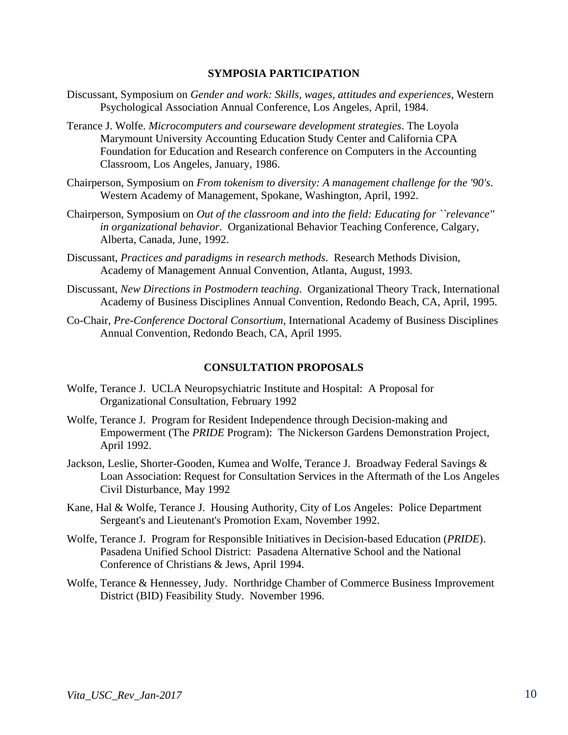### **SYMPOSIA PARTICIPATION**

- Discussant, Symposium on *Gender and work: Skills, wages, attitudes and experiences*, Western Psychological Association Annual Conference, Los Angeles, April, 1984.
- Terance J. Wolfe. *Microcomputers and courseware development strategies*. The Loyola Marymount University Accounting Education Study Center and California CPA Foundation for Education and Research conference on Computers in the Accounting Classroom, Los Angeles, January, 1986.
- Chairperson, Symposium on *From tokenism to diversity: A management challenge for the '90's*. Western Academy of Management, Spokane, Washington, April, 1992.
- Chairperson, Symposium on *Out of the classroom and into the field: Educating for ``relevance'' in organizational behavior*. Organizational Behavior Teaching Conference, Calgary, Alberta, Canada, June, 1992.
- Discussant, *Practices and paradigms in research methods*. Research Methods Division, Academy of Management Annual Convention, Atlanta, August, 1993.
- Discussant, *New Directions in Postmodern teaching*. Organizational Theory Track, International Academy of Business Disciplines Annual Convention, Redondo Beach, CA, April, 1995.
- Co-Chair, *Pre-Conference Doctoral Consortium*, International Academy of Business Disciplines Annual Convention, Redondo Beach, CA, April 1995.

### **CONSULTATION PROPOSALS**

- Wolfe, Terance J. UCLA Neuropsychiatric Institute and Hospital: A Proposal for Organizational Consultation, February 1992
- Wolfe, Terance J. Program for Resident Independence through Decision-making and Empowerment (The *PRIDE* Program): The Nickerson Gardens Demonstration Project, April 1992.
- Jackson, Leslie, Shorter-Gooden, Kumea and Wolfe, Terance J. Broadway Federal Savings & Loan Association: Request for Consultation Services in the Aftermath of the Los Angeles Civil Disturbance, May 1992
- Kane, Hal & Wolfe, Terance J. Housing Authority, City of Los Angeles: Police Department Sergeant's and Lieutenant's Promotion Exam, November 1992.
- Wolfe, Terance J. Program for Responsible Initiatives in Decision-based Education (*PRIDE*). Pasadena Unified School District: Pasadena Alternative School and the National Conference of Christians & Jews, April 1994.
- Wolfe, Terance & Hennessey, Judy. Northridge Chamber of Commerce Business Improvement District (BID) Feasibility Study. November 1996.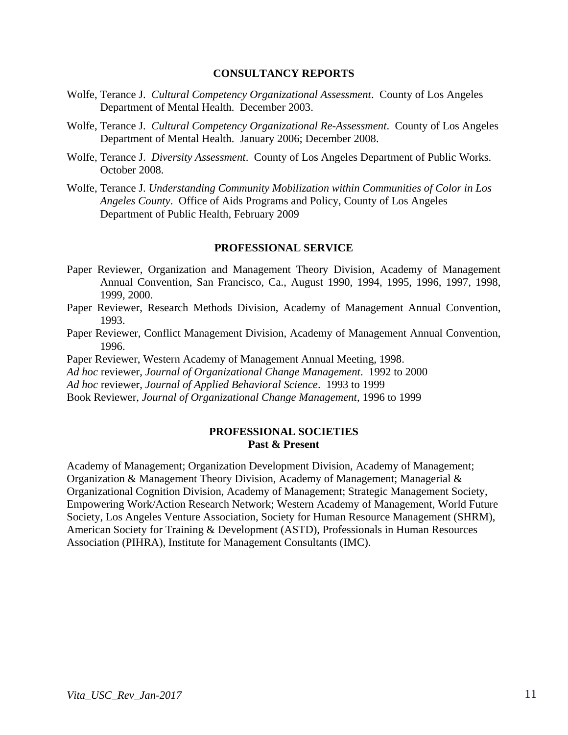#### **CONSULTANCY REPORTS**

- Wolfe, Terance J. *Cultural Competency Organizational Assessment*. County of Los Angeles Department of Mental Health. December 2003.
- Wolfe, Terance J. *Cultural Competency Organizational Re-Assessment*. County of Los Angeles Department of Mental Health. January 2006; December 2008.
- Wolfe, Terance J. *Diversity Assessment*. County of Los Angeles Department of Public Works. October 2008.
- Wolfe, Terance J. *Understanding Community Mobilization within Communities of Color in Los Angeles County*. Office of Aids Programs and Policy, County of Los Angeles Department of Public Health, February 2009

#### **PROFESSIONAL SERVICE**

- Paper Reviewer, Organization and Management Theory Division, Academy of Management Annual Convention, San Francisco, Ca., August 1990, 1994, 1995, 1996, 1997, 1998, 1999, 2000.
- Paper Reviewer, Research Methods Division, Academy of Management Annual Convention, 1993.
- Paper Reviewer, Conflict Management Division, Academy of Management Annual Convention, 1996.
- Paper Reviewer, Western Academy of Management Annual Meeting, 1998.
- *Ad hoc* reviewer, *Journal of Organizational Change Management*. 1992 to 2000
- *Ad hoc* reviewer, *Journal of Applied Behavioral Science*. 1993 to 1999

Book Reviewer, *Journal of Organizational Change Management*, 1996 to 1999

### **PROFESSIONAL SOCIETIES Past & Present**

Academy of Management; Organization Development Division, Academy of Management; Organization & Management Theory Division, Academy of Management; Managerial & Organizational Cognition Division, Academy of Management; Strategic Management Society, Empowering Work/Action Research Network; Western Academy of Management, World Future Society, Los Angeles Venture Association, Society for Human Resource Management (SHRM), American Society for Training & Development (ASTD), Professionals in Human Resources Association (PIHRA), Institute for Management Consultants (IMC).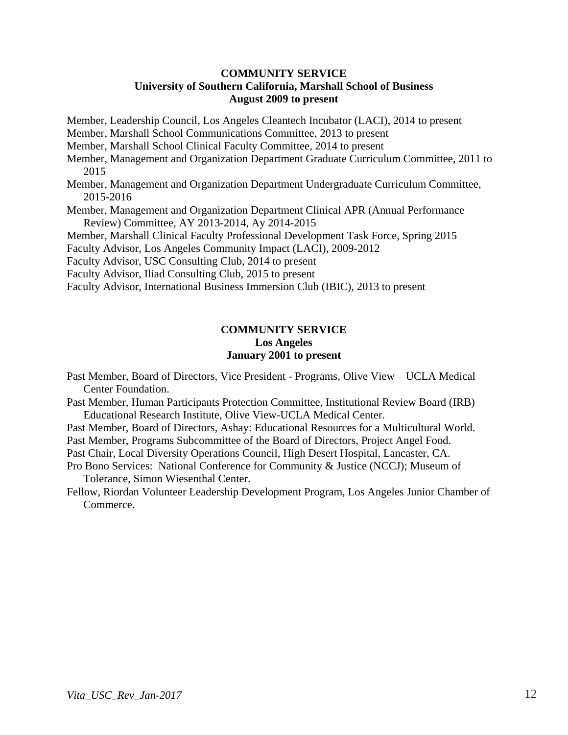## **COMMUNITY SERVICE**

## **University of Southern California, Marshall School of Business August 2009 to present**

Member, Leadership Council, Los Angeles Cleantech Incubator (LACI), 2014 to present Member, Marshall School Communications Committee, 2013 to present Member, Marshall School Clinical Faculty Committee, 2014 to present Member, Management and Organization Department Graduate Curriculum Committee, 2011 to 2015 Member, Management and Organization Department Undergraduate Curriculum Committee, 2015-2016 Member, Management and Organization Department Clinical APR (Annual Performance Review) Committee, AY 2013-2014, Ay 2014-2015 Member, Marshall Clinical Faculty Professional Development Task Force, Spring 2015 Faculty Advisor, Los Angeles Community Impact (LACI), 2009-2012 Faculty Advisor, USC Consulting Club, 2014 to present

Faculty Advisor, Iliad Consulting Club, 2015 to present

Faculty Advisor, International Business Immersion Club (IBIC), 2013 to present

## **COMMUNITY SERVICE Los Angeles January 2001 to present**

Past Member, Board of Directors, Vice President - Programs, Olive View – UCLA Medical Center Foundation.

Past Member, Human Participants Protection Committee, Institutional Review Board (IRB) Educational Research Institute, Olive View-UCLA Medical Center.

Past Member, Board of Directors, Ashay: Educational Resources for a Multicultural World. Past Member, Programs Subcommittee of the Board of Directors, Project Angel Food.

Past Chair, Local Diversity Operations Council, High Desert Hospital, Lancaster, CA.

Pro Bono Services: National Conference for Community & Justice (NCCJ); Museum of Tolerance, Simon Wiesenthal Center.

Fellow, Riordan Volunteer Leadership Development Program, Los Angeles Junior Chamber of Commerce.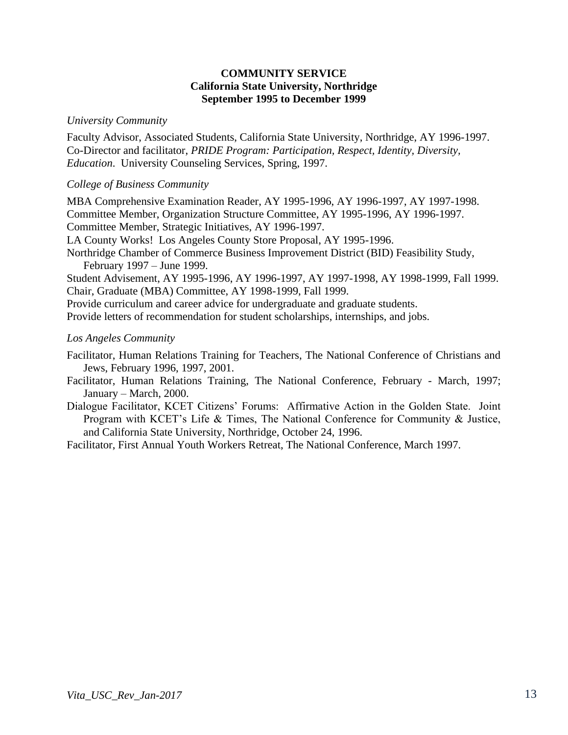## **COMMUNITY SERVICE California State University, Northridge September 1995 to December 1999**

## *University Community*

Faculty Advisor, Associated Students, California State University, Northridge, AY 1996-1997. Co-Director and facilitator, *PRIDE Program: Participation, Respect, Identity, Diversity, Education*. University Counseling Services, Spring, 1997.

## *College of Business Community*

MBA Comprehensive Examination Reader, AY 1995-1996, AY 1996-1997, AY 1997-1998. Committee Member, Organization Structure Committee, AY 1995-1996, AY 1996-1997. Committee Member, Strategic Initiatives, AY 1996-1997. LA County Works! Los Angeles County Store Proposal, AY 1995-1996. Northridge Chamber of Commerce Business Improvement District (BID) Feasibility Study, February 1997 – June 1999. Student Advisement, AY 1995-1996, AY 1996-1997, AY 1997-1998, AY 1998-1999, Fall 1999. Chair, Graduate (MBA) Committee, AY 1998-1999, Fall 1999. Provide curriculum and career advice for undergraduate and graduate students. Provide letters of recommendation for student scholarships, internships, and jobs.

## *Los Angeles Community*

Facilitator, Human Relations Training for Teachers, The National Conference of Christians and Jews, February 1996, 1997, 2001.

- Facilitator, Human Relations Training, The National Conference, February March, 1997; January – March, 2000.
- Dialogue Facilitator, KCET Citizens' Forums: Affirmative Action in the Golden State. Joint Program with KCET's Life & Times, The National Conference for Community & Justice, and California State University, Northridge, October 24, 1996.

Facilitator, First Annual Youth Workers Retreat, The National Conference, March 1997.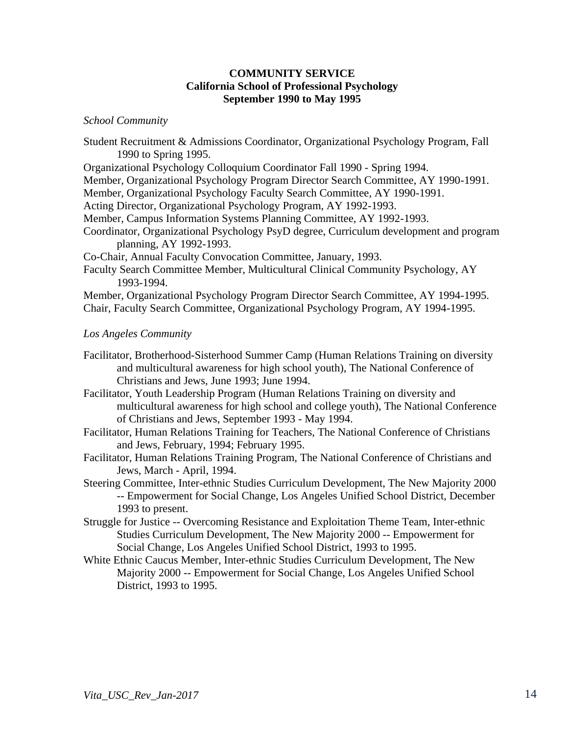## **COMMUNITY SERVICE California School of Professional Psychology September 1990 to May 1995**

#### *School Community*

- Student Recruitment & Admissions Coordinator, Organizational Psychology Program, Fall 1990 to Spring 1995.
- Organizational Psychology Colloquium Coordinator Fall 1990 Spring 1994.
- Member, Organizational Psychology Program Director Search Committee, AY 1990-1991.
- Member, Organizational Psychology Faculty Search Committee, AY 1990-1991.
- Acting Director, Organizational Psychology Program, AY 1992-1993.
- Member, Campus Information Systems Planning Committee, AY 1992-1993.
- Coordinator, Organizational Psychology PsyD degree, Curriculum development and program planning, AY 1992-1993.

Co-Chair, Annual Faculty Convocation Committee, January, 1993.

Faculty Search Committee Member, Multicultural Clinical Community Psychology, AY 1993-1994.

Member, Organizational Psychology Program Director Search Committee, AY 1994-1995. Chair, Faculty Search Committee, Organizational Psychology Program, AY 1994-1995.

## *Los Angeles Community*

- Facilitator, Brotherhood-Sisterhood Summer Camp (Human Relations Training on diversity and multicultural awareness for high school youth), The National Conference of Christians and Jews, June 1993; June 1994.
- Facilitator, Youth Leadership Program (Human Relations Training on diversity and multicultural awareness for high school and college youth), The National Conference of Christians and Jews, September 1993 - May 1994.
- Facilitator, Human Relations Training for Teachers, The National Conference of Christians and Jews, February, 1994; February 1995.
- Facilitator, Human Relations Training Program, The National Conference of Christians and Jews, March - April, 1994.
- Steering Committee, Inter-ethnic Studies Curriculum Development, The New Majority 2000 -- Empowerment for Social Change, Los Angeles Unified School District, December 1993 to present.
- Struggle for Justice -- Overcoming Resistance and Exploitation Theme Team, Inter-ethnic Studies Curriculum Development, The New Majority 2000 -- Empowerment for Social Change, Los Angeles Unified School District, 1993 to 1995.
- White Ethnic Caucus Member, Inter-ethnic Studies Curriculum Development, The New Majority 2000 -- Empowerment for Social Change, Los Angeles Unified School District, 1993 to 1995.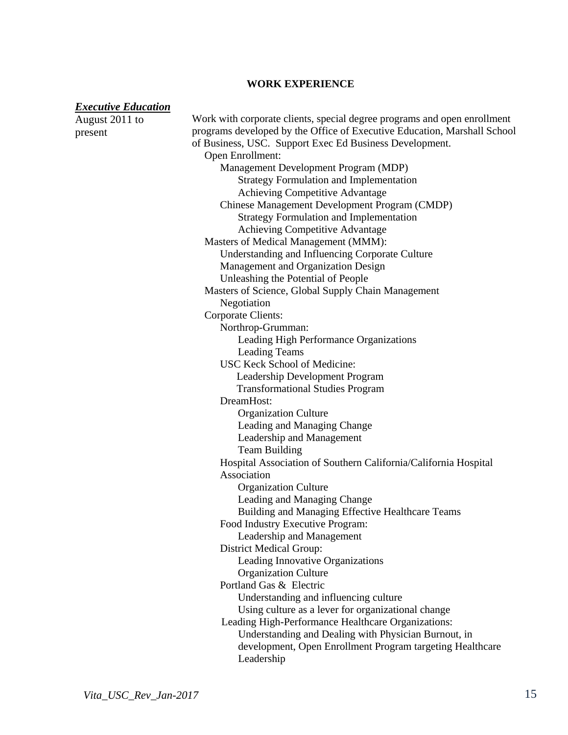# **WORK EXPERIENCE**

### *Executive Education*

| LAUUNII LUUUUIVII<br>August 2011 to | Work with corporate clients, special degree programs and open enrollment |
|-------------------------------------|--------------------------------------------------------------------------|
| present                             | programs developed by the Office of Executive Education, Marshall School |
|                                     | of Business, USC. Support Exec Ed Business Development.                  |
|                                     | Open Enrollment:                                                         |
|                                     | Management Development Program (MDP)                                     |
|                                     | <b>Strategy Formulation and Implementation</b>                           |
|                                     | Achieving Competitive Advantage                                          |
|                                     | Chinese Management Development Program (CMDP)                            |
|                                     | <b>Strategy Formulation and Implementation</b>                           |
|                                     | Achieving Competitive Advantage                                          |
|                                     | Masters of Medical Management (MMM):                                     |
|                                     | Understanding and Influencing Corporate Culture                          |
|                                     | Management and Organization Design                                       |
|                                     | Unleashing the Potential of People                                       |
|                                     | Masters of Science, Global Supply Chain Management                       |
|                                     | Negotiation                                                              |
|                                     | Corporate Clients:                                                       |
|                                     | Northrop-Grumman:                                                        |
|                                     | Leading High Performance Organizations                                   |
|                                     | <b>Leading Teams</b>                                                     |
|                                     | USC Keck School of Medicine:                                             |
|                                     | Leadership Development Program                                           |
|                                     | <b>Transformational Studies Program</b>                                  |
|                                     | DreamHost:                                                               |
|                                     | <b>Organization Culture</b>                                              |
|                                     | Leading and Managing Change                                              |
|                                     | Leadership and Management                                                |
|                                     | <b>Team Building</b>                                                     |
|                                     | Hospital Association of Southern California/California Hospital          |
|                                     | Association                                                              |
|                                     | <b>Organization Culture</b>                                              |
|                                     | Leading and Managing Change                                              |
|                                     | Building and Managing Effective Healthcare Teams                         |
|                                     | Food Industry Executive Program:                                         |
|                                     | Leadership and Management                                                |
|                                     | <b>District Medical Group:</b>                                           |
|                                     | Leading Innovative Organizations                                         |
|                                     | <b>Organization Culture</b>                                              |
|                                     | Portland Gas & Electric                                                  |
|                                     | Understanding and influencing culture                                    |
|                                     | Using culture as a lever for organizational change                       |
|                                     | Leading High-Performance Healthcare Organizations:                       |
|                                     | Understanding and Dealing with Physician Burnout, in                     |
|                                     | development, Open Enrollment Program targeting Healthcare                |
|                                     | Leadership                                                               |